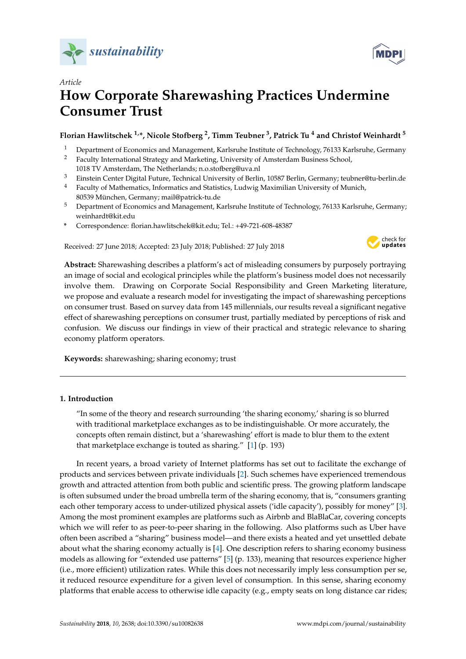



# *Article* **How Corporate Sharewashing Practices Undermine Consumer Trust**

# **Florian Hawlitschek 1,\*, Nicole Stofberg <sup>2</sup> , Timm Teubner <sup>3</sup> , Patrick Tu <sup>4</sup> and Christof Weinhardt <sup>5</sup>**

- <sup>1</sup> Department of Economics and Management, Karlsruhe Institute of Technology, 76133 Karlsruhe, Germany<br><sup>2</sup> Eaculty International Strategy and Marketing I Iniversity of Amsterdam Business School
- <sup>2</sup> Faculty International Strategy and Marketing, University of Amsterdam Business School,
- 1018 TV Amsterdam, The Netherlands; n.o.stofberg@uva.nl
- <sup>3</sup> Einstein Center Digital Future, Technical University of Berlin, 10587 Berlin, Germany; teubner@tu-berlin.de
- <sup>4</sup> Faculty of Mathematics, Informatics and Statistics, Ludwig Maximilian University of Munich, 80539 München, Germany; mail@patrick-tu.de
- <sup>5</sup> Department of Economics and Management, Karlsruhe Institute of Technology, 76133 Karlsruhe, Germany; weinhardt@kit.edu
- **\*** Correspondence: florian.hawlitschek@kit.edu; Tel.: +49-721-608-48387

Received: 27 June 2018; Accepted: 23 July 2018; Published: 27 July 2018



**Abstract:** Sharewashing describes a platform's act of misleading consumers by purposely portraying an image of social and ecological principles while the platform's business model does not necessarily involve them. Drawing on Corporate Social Responsibility and Green Marketing literature, we propose and evaluate a research model for investigating the impact of sharewashing perceptions on consumer trust. Based on survey data from 145 millennials, our results reveal a significant negative effect of sharewashing perceptions on consumer trust, partially mediated by perceptions of risk and confusion. We discuss our findings in view of their practical and strategic relevance to sharing economy platform operators.

**Keywords:** sharewashing; sharing economy; trust

# **1. Introduction**

"In some of the theory and research surrounding 'the sharing economy,' sharing is so blurred with traditional marketplace exchanges as to be indistinguishable. Or more accurately, the concepts often remain distinct, but a 'sharewashing' effort is made to blur them to the extent that marketplace exchange is touted as sharing." [\[1\]](#page-12-0) (p. 193)

In recent years, a broad variety of Internet platforms has set out to facilitate the exchange of products and services between private individuals [\[2\]](#page-12-1). Such schemes have experienced tremendous growth and attracted attention from both public and scientific press. The growing platform landscape is often subsumed under the broad umbrella term of the sharing economy, that is, "consumers granting each other temporary access to under-utilized physical assets ('idle capacity'), possibly for money" [\[3\]](#page-12-2). Among the most prominent examples are platforms such as Airbnb and BlaBlaCar, covering concepts which we will refer to as peer-to-peer sharing in the following. Also platforms such as Uber have often been ascribed a "sharing" business model—and there exists a heated and yet unsettled debate about what the sharing economy actually is [\[4\]](#page-12-3). One description refers to sharing economy business models as allowing for "extended use patterns" [\[5\]](#page-12-4) (p. 133), meaning that resources experience higher (i.e., more efficient) utilization rates. While this does not necessarily imply less consumption per se, it reduced resource expenditure for a given level of consumption. In this sense, sharing economy platforms that enable access to otherwise idle capacity (e.g., empty seats on long distance car rides;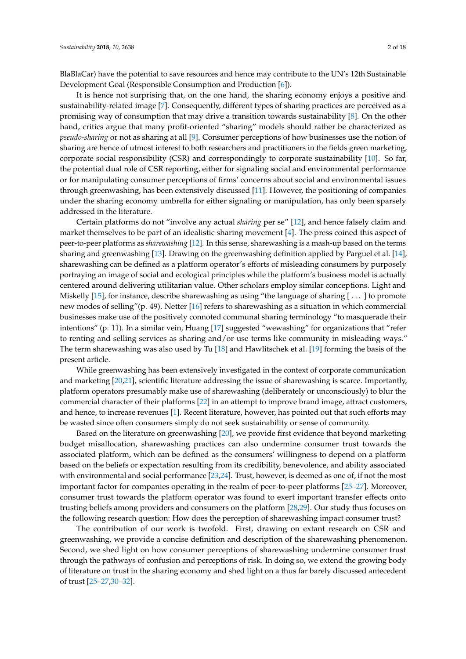BlaBlaCar) have the potential to save resources and hence may contribute to the UN's 12th Sustainable Development Goal (Responsible Consumption and Production [\[6\]](#page-12-5)).

It is hence not surprising that, on the one hand, the sharing economy enjoys a positive and sustainability-related image [\[7\]](#page-12-6). Consequently, different types of sharing practices are perceived as a promising way of consumption that may drive a transition towards sustainability [\[8\]](#page-12-7). On the other hand, critics argue that many profit-oriented "sharing" models should rather be characterized as *pseudo-sharing* or not as sharing at all [\[9\]](#page-12-8). Consumer perceptions of how businesses use the notion of sharing are hence of utmost interest to both researchers and practitioners in the fields green marketing, corporate social responsibility (CSR) and correspondingly to corporate sustainability [\[10\]](#page-12-9). So far, the potential dual role of CSR reporting, either for signaling social and environmental performance or for manipulating consumer perceptions of firms' concerns about social and environmental issues through greenwashing, has been extensively discussed [\[11\]](#page-12-10). However, the positioning of companies under the sharing economy umbrella for either signaling or manipulation, has only been sparsely addressed in the literature.

Certain platforms do not "involve any actual *sharing* per se" [\[12\]](#page-12-11), and hence falsely claim and market themselves to be part of an idealistic sharing movement [\[4\]](#page-12-3). The press coined this aspect of peer-to-peer platforms as *sharewashing* [\[12\]](#page-12-11). In this sense, sharewashing is a mash-up based on the terms sharing and greenwashing [\[13\]](#page-12-12). Drawing on the greenwashing definition applied by Parguel et al. [\[14\]](#page-12-13), sharewashing can be defined as a platform operator's efforts of misleading consumers by purposely portraying an image of social and ecological principles while the platform's business model is actually centered around delivering utilitarian value. Other scholars employ similar conceptions. Light and Miskelly [\[15\]](#page-13-0), for instance, describe sharewashing as using "the language of sharing  $[\dots]$  to promote new modes of selling"(p. 49). Netter [\[16\]](#page-13-1) refers to sharewashing as a situation in which commercial businesses make use of the positively connoted communal sharing terminology "to masquerade their intentions" (p. 11). In a similar vein, Huang [\[17\]](#page-13-2) suggested "wewashing" for organizations that "refer to renting and selling services as sharing and/or use terms like community in misleading ways." The term sharewashing was also used by Tu [\[18\]](#page-13-3) and Hawlitschek et al. [\[19\]](#page-13-4) forming the basis of the present article.

While greenwashing has been extensively investigated in the context of corporate communication and marketing [\[20](#page-13-5)[,21\]](#page-13-6), scientific literature addressing the issue of sharewashing is scarce. Importantly, platform operators presumably make use of sharewashing (deliberately or unconsciously) to blur the commercial character of their platforms [\[22\]](#page-13-7) in an attempt to improve brand image, attract customers, and hence, to increase revenues [\[1\]](#page-12-0). Recent literature, however, has pointed out that such efforts may be wasted since often consumers simply do not seek sustainability or sense of community.

Based on the literature on greenwashing [\[20\]](#page-13-5), we provide first evidence that beyond marketing budget misallocation, sharewashing practices can also undermine consumer trust towards the associated platform, which can be defined as the consumers' willingness to depend on a platform based on the beliefs or expectation resulting from its credibility, benevolence, and ability associated with environmental and social performance [\[23,](#page-13-8)[24\]](#page-13-9). Trust, however, is deemed as one of, if not the most important factor for companies operating in the realm of peer-to-peer platforms [\[25–](#page-13-10)[27\]](#page-13-11). Moreover, consumer trust towards the platform operator was found to exert important transfer effects onto trusting beliefs among providers and consumers on the platform [\[28,](#page-13-12)[29\]](#page-13-13). Our study thus focuses on the following research question: How does the perception of sharewashing impact consumer trust?

The contribution of our work is twofold. First, drawing on extant research on CSR and greenwashing, we provide a concise definition and description of the sharewashing phenomenon. Second, we shed light on how consumer perceptions of sharewashing undermine consumer trust through the pathways of confusion and perceptions of risk. In doing so, we extend the growing body of literature on trust in the sharing economy and shed light on a thus far barely discussed antecedent of trust [\[25](#page-13-10)[–27,](#page-13-11)[30–](#page-13-14)[32\]](#page-13-15).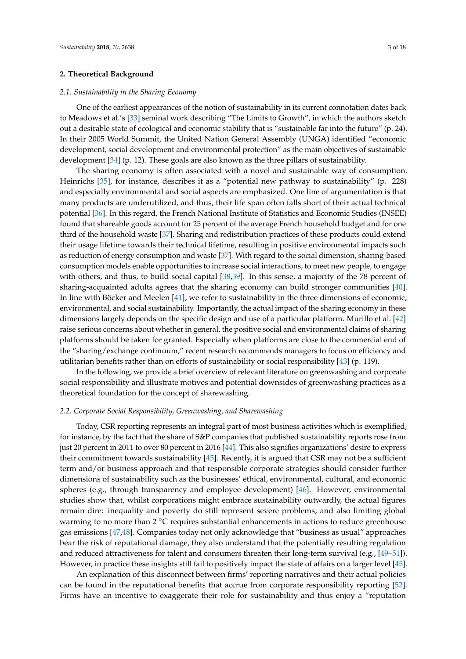#### **2. Theoretical Background**

#### *2.1. Sustainability in the Sharing Economy*

One of the earliest appearances of the notion of sustainability in its current connotation dates back to Meadows et al.'s [\[33\]](#page-13-16) seminal work describing "The Limits to Growth", in which the authors sketch out a desirable state of ecological and economic stability that is "sustainable far into the future" (p. 24). In their 2005 World Summit, the United Nation General Assembly (UNGA) identified "economic development, social development and environmental protection" as the main objectives of sustainable development [\[34\]](#page-13-17) (p. 12). These goals are also known as the three pillars of sustainability.

The sharing economy is often associated with a novel and sustainable way of consumption. Heinrichs [\[35\]](#page-13-18), for instance, describes it as a "potential new pathway to sustainability" (p. 228) and especially environmental and social aspects are emphasized. One line of argumentation is that many products are underutilized, and thus, their life span often falls short of their actual technical potential [\[36\]](#page-13-19). In this regard, the French National Institute of Statistics and Economic Studies (INSEE) found that shareable goods account for 25 percent of the average French household budget and for one third of the household waste [\[37\]](#page-13-20). Sharing and redistribution practices of these products could extend their usage lifetime towards their technical lifetime, resulting in positive environmental impacts such as reduction of energy consumption and waste [\[37\]](#page-13-20). With regard to the social dimension, sharing-based consumption models enable opportunities to increase social interactions, to meet new people, to engage with others, and thus, to build social capital [\[38](#page-13-21)[,39\]](#page-13-22). In this sense, a majority of the 78 percent of sharing-acquainted adults agrees that the sharing economy can build stronger communities [\[40\]](#page-14-0). In line with Böcker and Meelen [\[41\]](#page-14-1), we refer to sustainability in the three dimensions of economic, environmental, and social sustainability. Importantly, the actual impact of the sharing economy in these dimensions largely depends on the specific design and use of a particular platform. Murillo et al. [\[42\]](#page-14-2) raise serious concerns about whether in general, the positive social and environmental claims of sharing platforms should be taken for granted. Especially when platforms are close to the commercial end of the "sharing/exchange continuum," recent research recommends managers to focus on efficiency and utilitarian benefits rather than on efforts of sustainability or social responsibility [\[43\]](#page-14-3) (p. 119).

In the following, we provide a brief overview of relevant literature on greenwashing and corporate social responsibility and illustrate motives and potential downsides of greenwashing practices as a theoretical foundation for the concept of sharewashing.

#### *2.2. Corporate Social Responsibility, Greenwashing, and Sharewashing*

Today, CSR reporting represents an integral part of most business activities which is exemplified, for instance, by the fact that the share of S&P companies that published sustainability reports rose from just 20 percent in 2011 to over 80 percent in 2016 [\[44\]](#page-14-4). This also signifies organizations' desire to express their commitment towards sustainability [\[45\]](#page-14-5). Recently, it is argued that CSR may not be a sufficient term and/or business approach and that responsible corporate strategies should consider further dimensions of sustainability such as the businesses' ethical, environmental, cultural, and economic spheres (e.g., through transparency and employee development) [\[46\]](#page-14-6). However, environmental studies show that, whilst corporations might embrace sustainability outwardly, the actual figures remain dire: inequality and poverty do still represent severe problems, and also limiting global warming to no more than  $2 \degree C$  requires substantial enhancements in actions to reduce greenhouse gas emissions [\[47,](#page-14-7)[48\]](#page-14-8). Companies today not only acknowledge that "business as usual" approaches bear the risk of reputational damage, they also understand that the potentially resulting regulation and reduced attractiveness for talent and consumers threaten their long-term survival (e.g., [\[49](#page-14-9)[–51\]](#page-14-10)). However, in practice these insights still fail to positively impact the state of affairs on a larger level [\[45\]](#page-14-5).

An explanation of this disconnect between firms' reporting narratives and their actual policies can be found in the reputational benefits that accrue from corporate responsibility reporting [\[52\]](#page-14-11). Firms have an incentive to exaggerate their role for sustainability and thus enjoy a "reputation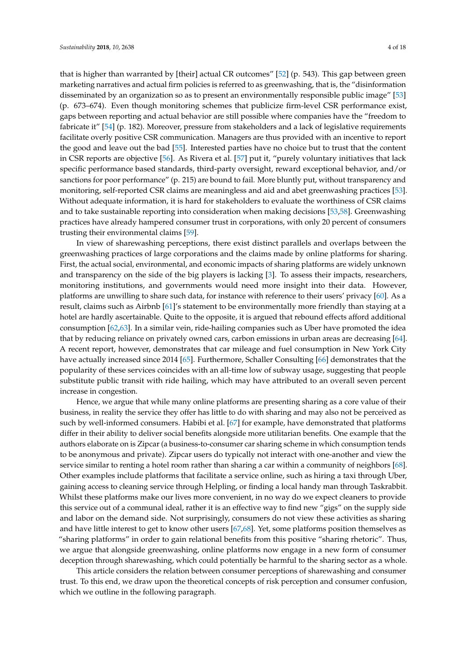that is higher than warranted by [their] actual CR outcomes" [\[52\]](#page-14-11) (p. 543). This gap between green marketing narratives and actual firm policies is referred to as greenwashing, that is, the "disinformation disseminated by an organization so as to present an environmentally responsible public image" [\[53\]](#page-14-12) (p. 673–674). Even though monitoring schemes that publicize firm-level CSR performance exist, gaps between reporting and actual behavior are still possible where companies have the "freedom to fabricate it" [\[54\]](#page-14-13) (p. 182). Moreover, pressure from stakeholders and a lack of legislative requirements facilitate overly positive CSR communication. Managers are thus provided with an incentive to report the good and leave out the bad [\[55\]](#page-14-14). Interested parties have no choice but to trust that the content in CSR reports are objective [\[56\]](#page-14-15). As Rivera et al. [\[57\]](#page-14-16) put it, "purely voluntary initiatives that lack specific performance based standards, third-party oversight, reward exceptional behavior, and/or sanctions for poor performance" (p. 215) are bound to fail. More bluntly put, without transparency and monitoring, self-reported CSR claims are meaningless and aid and abet greenwashing practices [\[53\]](#page-14-12). Without adequate information, it is hard for stakeholders to evaluate the worthiness of CSR claims and to take sustainable reporting into consideration when making decisions [\[53](#page-14-12)[,58\]](#page-14-17). Greenwashing practices have already hampered consumer trust in corporations, with only 20 percent of consumers trusting their environmental claims [\[59\]](#page-14-18).

In view of sharewashing perceptions, there exist distinct parallels and overlaps between the greenwashing practices of large corporations and the claims made by online platforms for sharing. First, the actual social, environmental, and economic impacts of sharing platforms are widely unknown and transparency on the side of the big players is lacking [\[3\]](#page-12-2). To assess their impacts, researchers, monitoring institutions, and governments would need more insight into their data. However, platforms are unwilling to share such data, for instance with reference to their users' privacy [\[60\]](#page-14-19). As a result, claims such as Airbnb [\[61\]](#page-14-20)'s statement to be environmentally more friendly than staying at a hotel are hardly ascertainable. Quite to the opposite, it is argued that rebound effects afford additional consumption [\[62](#page-14-21)[,63\]](#page-14-22). In a similar vein, ride-hailing companies such as Uber have promoted the idea that by reducing reliance on privately owned cars, carbon emissions in urban areas are decreasing [\[64\]](#page-15-0). A recent report, however, demonstrates that car mileage and fuel consumption in New York City have actually increased since 2014 [\[65\]](#page-15-1). Furthermore, Schaller Consulting [\[66\]](#page-15-2) demonstrates that the popularity of these services coincides with an all-time low of subway usage, suggesting that people substitute public transit with ride hailing, which may have attributed to an overall seven percent increase in congestion.

Hence, we argue that while many online platforms are presenting sharing as a core value of their business, in reality the service they offer has little to do with sharing and may also not be perceived as such by well-informed consumers. Habibi et al. [\[67\]](#page-15-3) for example, have demonstrated that platforms differ in their ability to deliver social benefits alongside more utilitarian benefits. One example that the authors elaborate on is Zipcar (a business-to-consumer car sharing scheme in which consumption tends to be anonymous and private). Zipcar users do typically not interact with one-another and view the service similar to renting a hotel room rather than sharing a car within a community of neighbors [\[68\]](#page-15-4). Other examples include platforms that facilitate a service online, such as hiring a taxi through Uber, gaining access to cleaning service through Helpling, or finding a local handy man through Taskrabbit. Whilst these platforms make our lives more convenient, in no way do we expect cleaners to provide this service out of a communal ideal, rather it is an effective way to find new "gigs" on the supply side and labor on the demand side. Not surprisingly, consumers do not view these activities as sharing and have little interest to get to know other users [\[67,](#page-15-3)[68\]](#page-15-4). Yet, some platforms position themselves as "sharing platforms" in order to gain relational benefits from this positive "sharing rhetoric". Thus, we argue that alongside greenwashing, online platforms now engage in a new form of consumer deception through sharewashing, which could potentially be harmful to the sharing sector as a whole.

This article considers the relation between consumer perceptions of sharewashing and consumer trust. To this end, we draw upon the theoretical concepts of risk perception and consumer confusion, which we outline in the following paragraph.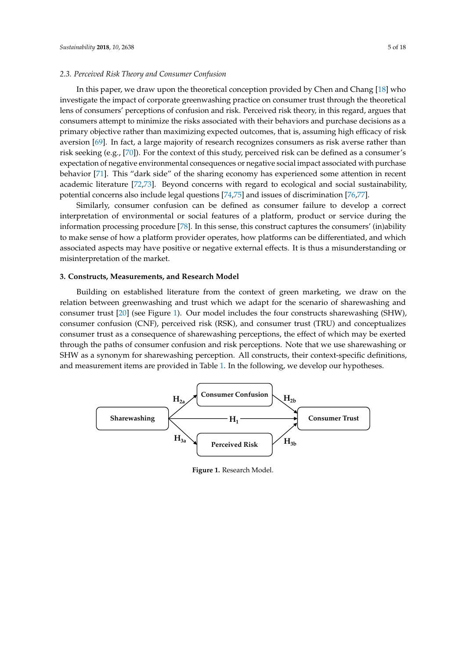#### *2.3. Perceived Risk Theory and Consumer Confusion* In this paper, we derive the theoretical conception provided by  $\mathcal{G}$  whose  $\mathcal{G}$

In this paper, we draw upon the theoretical conception provided by Chen and Chang  $[18]$  who investigate the impact of corporate greenwashing practice on consumer trust through the theoretical lens of consumers' perceptions of confusion and risk. Perceived risk theory, in this regard, argues that consumers attempt to minimize the risks associated with their behaviors and purchase decisions as a primary objective rather than maximizing expected outcomes, that is, assuming high efficacy of risk aversion [\[69\]](#page-15-5). In fact, a large majority of research recognizes consumers as risk averse rather than risk seeking (e.g., [\[70\]](#page-15-6)). For the context of this study, perceived risk can be defined as a consumer's expectation of negative environmental consequences or negative social impact associated with purchase behavior [\[71\]](#page-15-7). This "dark side" of the sharing economy has experienced some attention in recent academic literature [\[72,](#page-15-8)[73\]](#page-15-9). Beyond concerns with regard to ecological and social sustainability, potential concerns also include legal questions [\[74](#page-15-10)[,75\]](#page-15-11) and issues of discrimination [\[76,](#page-15-12)[77\]](#page-15-13). [76,77].

Similarly, consumer confusion can be defined as consumer failure to develop a correct Similarly, consumer confusion can be defined as consumer failure to develop a correct interpretation of environmental or social features of a platform, product or service during the interpretation of environmental or social features of a platform, product or service during the information processing procedure [\[78\]](#page-15-14). In this sense, this construct captures the consumers' (in)ability information processing procedure [78]. In this sense, this construct captures the consumers' (in)ability to make sense of how a platform provider operates, how platforms can be differentiated, and which to make sense of how a platform provider operates, how platforms can be differentiated, and which associated aspects may have positive or negative external effects. It is thus a misunderstanding or associated aspects may have positive or negative external effects. It is thus a misunderstanding or misinterpretation of the market. misinterpretation of the market.

# **3. Constructs, Measurements, and Research Model 3. Constructs, Measurements, and Research Model**

Building on established literature from the context of green marketing, we draw on the relation between greenwashing and trust which we adapt for the scenario of sharewashing and consumer trust  $[20]$  (see Figure [1\)](#page-4-0). Our model includes the four constructs sharewashing (SHW), consumer confusion (CNF), perceived risk (RSK), and consumer trust (TRU) and conceptualizes consumer trust as a consequence of sharewashing perceptions, the effect of which may be exerted through the paths of consumer confusion and risk perceptions. Note that we use sharewashing or SHW as a synonym for sharewashing perception. All constructs, their context-specific definitions, and measurement items are provided in Table [1.](#page-5-0) In the following, we develop our hypotheses.

<span id="page-4-0"></span>

**Figure 1.** Research Model. **Figure 1.** Research Model.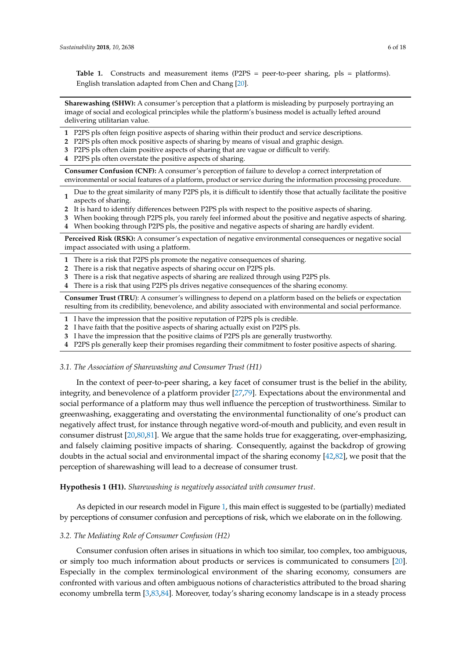<span id="page-5-0"></span>Table 1. Constructs and measurement items (P2PS = peer-to-peer sharing, pls = platforms). English translation adapted from Chen and Chang [\[20\]](#page-13-5).

**Sharewashing (SHW):** A consumer's perception that a platform is misleading by purposely portraying an image of social and ecological principles while the platform's business model is actually lefted around delivering utilitarian value.

- **1** P2PS pls often feign positive aspects of sharing within their product and service descriptions.
- **2** P2PS pls often mock positive aspects of sharing by means of visual and graphic design.
- **3** P2PS pls often claim positive aspects of sharing that are vague or difficult to verify.
- **4** P2PS pls often overstate the positive aspects of sharing.

**Consumer Confusion (CNF):** A consumer's perception of failure to develop a correct interpretation of environmental or social features of a platform, product or service during the information processing procedure.

**1** Due to the great similarity of many P2PS pls, it is difficult to identify those that actually facilitate the positive aspects of sharing.

- **2** It is hard to identify differences between P2PS pls with respect to the positive aspects of sharing.
- **3** When booking through P2PS pls, you rarely feel informed about the positive and negative aspects of sharing.
- **4** When booking through P2PS pls, the positive and negative aspects of sharing are hardly evident.

**Perceived Risk (RSK):** A consumer's expectation of negative environmental consequences or negative social impact associated with using a platform.

- **1** There is a risk that P2PS pls promote the negative consequences of sharing.
- **2** There is a risk that negative aspects of sharing occur on P2PS pls.
- **3** There is a risk that negative aspects of sharing are realized through using P2PS pls.
- **4** There is a risk that using P2PS pls drives negative consequences of the sharing economy.

**Consumer Trust (TRU**): A consumer's willingness to depend on a platform based on the beliefs or expectation resulting from its credibility, benevolence, and ability associated with environmental and social performance.

- **1** I have the impression that the positive reputation of P2PS pls is credible.
- **2** I have faith that the positive aspects of sharing actually exist on P2PS pls.
- **3** I have the impression that the positive claims of P2PS pls are generally trustworthy.
- **4** P2PS pls generally keep their promises regarding their commitment to foster positive aspects of sharing.

#### *3.1. The Association of Sharewashing and Consumer Trust (H1)*

In the context of peer-to-peer sharing, a key facet of consumer trust is the belief in the ability, integrity, and benevolence of a platform provider [\[27](#page-13-11)[,79\]](#page-15-15). Expectations about the environmental and social performance of a platform may thus well influence the perception of trustworthiness. Similar to greenwashing, exaggerating and overstating the environmental functionality of one's product can negatively affect trust, for instance through negative word-of-mouth and publicity, and even result in consumer distrust [\[20](#page-13-5)[,80](#page-15-16)[,81\]](#page-15-17). We argue that the same holds true for exaggerating, over-emphasizing, and falsely claiming positive impacts of sharing. Consequently, against the backdrop of growing doubts in the actual social and environmental impact of the sharing economy [\[42](#page-14-2)[,82\]](#page-15-18), we posit that the perception of sharewashing will lead to a decrease of consumer trust.

**Hypothesis 1 (H1).** *Sharewashing is negatively associated with consumer trust*.

As depicted in our research model in Figure [1,](#page-4-0) this main effect is suggested to be (partially) mediated by perceptions of consumer confusion and perceptions of risk, which we elaborate on in the following.

#### *3.2. The Mediating Role of Consumer Confusion (H2)*

Consumer confusion often arises in situations in which too similar, too complex, too ambiguous, or simply too much information about products or services is communicated to consumers [\[20\]](#page-13-5). Especially in the complex terminological environment of the sharing economy, consumers are confronted with various and often ambiguous notions of characteristics attributed to the broad sharing economy umbrella term [\[3](#page-12-2)[,83](#page-15-19)[,84\]](#page-15-20). Moreover, today's sharing economy landscape is in a steady process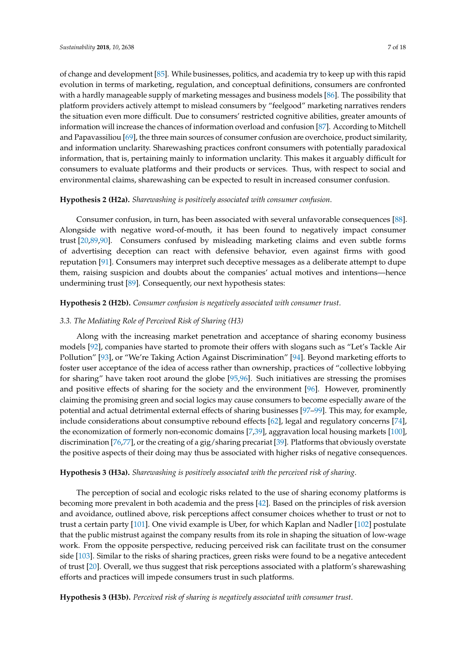of change and development [\[85\]](#page-15-21). While businesses, politics, and academia try to keep up with this rapid evolution in terms of marketing, regulation, and conceptual definitions, consumers are confronted with a hardly manageable supply of marketing messages and business models [\[86\]](#page-15-22). The possibility that platform providers actively attempt to mislead consumers by "feelgood" marketing narratives renders the situation even more difficult. Due to consumers' restricted cognitive abilities, greater amounts of information will increase the chances of information overload and confusion [\[87\]](#page-15-23). According to Mitchell and Papavassiliou [\[69\]](#page-15-5), the three main sources of consumer confusion are overchoice, product similarity, and information unclarity. Sharewashing practices confront consumers with potentially paradoxical information, that is, pertaining mainly to information unclarity. This makes it arguably difficult for consumers to evaluate platforms and their products or services. Thus, with respect to social and environmental claims, sharewashing can be expected to result in increased consumer confusion.

## **Hypothesis 2 (H2a).** *Sharewashing is positively associated with consumer confusion*.

Consumer confusion, in turn, has been associated with several unfavorable consequences [\[88\]](#page-16-0). Alongside with negative word-of-mouth, it has been found to negatively impact consumer trust [\[20](#page-13-5)[,89](#page-16-1)[,90\]](#page-16-2). Consumers confused by misleading marketing claims and even subtle forms of advertising deception can react with defensive behavior, even against firms with good reputation [\[91\]](#page-16-3). Consumers may interpret such deceptive messages as a deliberate attempt to dupe them, raising suspicion and doubts about the companies' actual motives and intentions—hence undermining trust [\[89\]](#page-16-1). Consequently, our next hypothesis states:

# **Hypothesis 2 (H2b).** *Consumer confusion is negatively associated with consumer trust*.

# *3.3. The Mediating Role of Perceived Risk of Sharing (H3)*

Along with the increasing market penetration and acceptance of sharing economy business models [\[92\]](#page-16-4), companies have started to promote their offers with slogans such as "Let's Tackle Air Pollution" [\[93\]](#page-16-5), or "We're Taking Action Against Discrimination" [\[94\]](#page-16-6). Beyond marketing efforts to foster user acceptance of the idea of access rather than ownership, practices of "collective lobbying for sharing" have taken root around the globe [\[95,](#page-16-7)[96\]](#page-16-8). Such initiatives are stressing the promises and positive effects of sharing for the society and the environment [\[96\]](#page-16-8). However, prominently claiming the promising green and social logics may cause consumers to become especially aware of the potential and actual detrimental external effects of sharing businesses [\[97–](#page-16-9)[99\]](#page-16-10). This may, for example, include considerations about consumptive rebound effects [\[62\]](#page-14-21), legal and regulatory concerns [\[74\]](#page-15-10), the economization of formerly non-economic domains [\[7](#page-12-6)[,39\]](#page-13-22), aggravation local housing markets [\[100\]](#page-16-11), discrimination [\[76,](#page-15-12)[77\]](#page-15-13), or the creating of a gig/sharing precariat [\[39\]](#page-13-22). Platforms that obviously overstate the positive aspects of their doing may thus be associated with higher risks of negative consequences.

## **Hypothesis 3 (H3a).** *Sharewashing is positively associated with the perceived risk of sharing*.

The perception of social and ecologic risks related to the use of sharing economy platforms is becoming more prevalent in both academia and the press [\[42\]](#page-14-2). Based on the principles of risk aversion and avoidance, outlined above, risk perceptions affect consumer choices whether to trust or not to trust a certain party [\[101\]](#page-16-12). One vivid example is Uber, for which Kaplan and Nadler [\[102\]](#page-16-13) postulate that the public mistrust against the company results from its role in shaping the situation of low-wage work. From the opposite perspective, reducing perceived risk can facilitate trust on the consumer side [\[103\]](#page-16-14). Similar to the risks of sharing practices, green risks were found to be a negative antecedent of trust [\[20\]](#page-13-5). Overall, we thus suggest that risk perceptions associated with a platform's sharewashing efforts and practices will impede consumers trust in such platforms.

**Hypothesis 3 (H3b).** *Perceived risk of sharing is negatively associated with consumer trust*.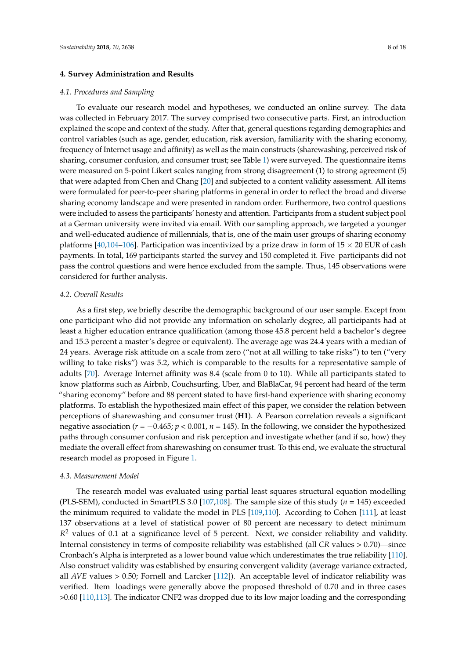### **4. Survey Administration and Results**

#### *4.1. Procedures and Sampling*

To evaluate our research model and hypotheses, we conducted an online survey. The data was collected in February 2017. The survey comprised two consecutive parts. First, an introduction explained the scope and context of the study. After that, general questions regarding demographics and control variables (such as age, gender, education, risk aversion, familiarity with the sharing economy, frequency of Internet usage and affinity) as well as the main constructs (sharewashing, perceived risk of sharing, consumer confusion, and consumer trust; see Table [1\)](#page-5-0) were surveyed. The questionnaire items were measured on 5-point Likert scales ranging from strong disagreement (1) to strong agreement (5) that were adapted from Chen and Chang [\[20\]](#page-13-5) and subjected to a content validity assessment. All items were formulated for peer-to-peer sharing platforms in general in order to reflect the broad and diverse sharing economy landscape and were presented in random order. Furthermore, two control questions were included to assess the participants' honesty and attention. Participants from a student subject pool at a German university were invited via email. With our sampling approach, we targeted a younger and well-educated audience of millennials, that is, one of the main user groups of sharing economy platforms [\[40,](#page-14-0)[104](#page-16-15)[–106\]](#page-16-16). Participation was incentivized by a prize draw in form of  $15 \times 20$  EUR of cash payments. In total, 169 participants started the survey and 150 completed it. Five participants did not pass the control questions and were hence excluded from the sample. Thus, 145 observations were considered for further analysis.

## *4.2. Overall Results*

As a first step, we briefly describe the demographic background of our user sample. Except from one participant who did not provide any information on scholarly degree, all participants had at least a higher education entrance qualification (among those 45.8 percent held a bachelor's degree and 15.3 percent a master's degree or equivalent). The average age was 24.4 years with a median of 24 years. Average risk attitude on a scale from zero ("not at all willing to take risks") to ten ("very willing to take risks") was 5.2, which is comparable to the results for a representative sample of adults [\[70\]](#page-15-6). Average Internet affinity was 8.4 (scale from 0 to 10). While all participants stated to know platforms such as Airbnb, Couchsurfing, Uber, and BlaBlaCar, 94 percent had heard of the term "sharing economy" before and 88 percent stated to have first-hand experience with sharing economy platforms. To establish the hypothesized main effect of this paper, we consider the relation between perceptions of sharewashing and consumer trust (**H1**). A Pearson correlation reveals a significant negative association (*r* = −0.465; *p* < 0.001, *n* = 145). In the following, we consider the hypothesized paths through consumer confusion and risk perception and investigate whether (and if so, how) they mediate the overall effect from sharewashing on consumer trust. To this end, we evaluate the structural research model as proposed in Figure [1.](#page-4-0)

#### *4.3. Measurement Model*

The research model was evaluated using partial least squares structural equation modelling (PLS-SEM), conducted in SmartPLS 3.0 [\[107,](#page-16-17)[108\]](#page-16-18). The sample size of this study (*n* = 145) exceeded the minimum required to validate the model in PLS [\[109](#page-16-19)[,110\]](#page-16-20). According to Cohen [\[111\]](#page-16-21), at least 137 observations at a level of statistical power of 80 percent are necessary to detect minimum R<sup>2</sup> values of 0.1 at a significance level of 5 percent. Next, we consider reliability and validity. Internal consistency in terms of composite reliability was established (all *CR* values > 0.70)—since Cronbach's Alpha is interpreted as a lower bound value which underestimates the true reliability [\[110\]](#page-16-20). Also construct validity was established by ensuring convergent validity (average variance extracted, all *AVE* values > 0.50; Fornell and Larcker [\[112\]](#page-16-22)). An acceptable level of indicator reliability was verified. Item loadings were generally above the proposed threshold of 0.70 and in three cases >0.60 [\[110](#page-16-20)[,113\]](#page-16-23). The indicator CNF2 was dropped due to its low major loading and the corresponding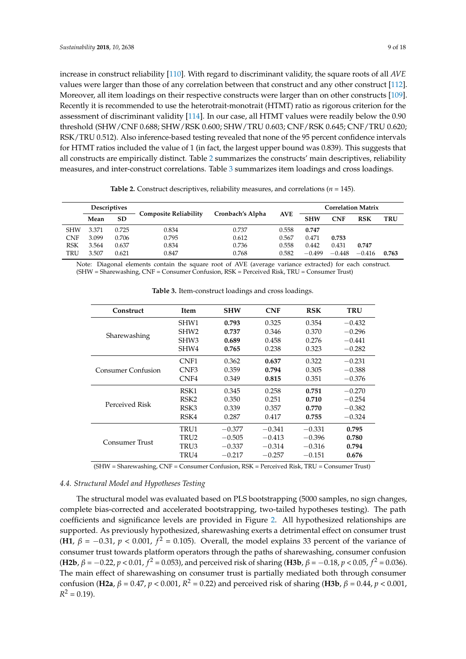increase in construct reliability [\[110\]](#page-16-20). With regard to discriminant validity, the square roots of all *AVE* values were larger than those of any correlation between that construct and any other construct [\[112\]](#page-16-22). Moreover, all item loadings on their respective constructs were larger than on other constructs [\[109\]](#page-16-19). Recently it is recommended to use the heterotrait-monotrait (HTMT) ratio as rigorous criterion for the assessment of discriminant validity [\[114\]](#page-17-0). In our case, all HTMT values were readily below the 0.90 threshold (SHW/CNF 0.688; SHW/RSK 0.600; SHW/TRU 0.603; CNF/RSK 0.645; CNF/TRU 0.620; RSK/TRU 0.512). Also inference-based testing revealed that none of the 95 percent confidence intervals for HTMT ratios included the value of 1 (in fact, the largest upper bound was 0.839). This suggests that all constructs are empirically distinct. Table [2](#page-8-0) summarizes the constructs' main descriptives, reliability measures, and inter-construct correlations. Table [3](#page-8-1) summarizes item loadings and cross loadings.

<span id="page-8-0"></span>

|            | <b>Descriptives</b> |           |                              | Cronbach's Alpha |            | <b>Correlation Matrix</b> |          |            |       |
|------------|---------------------|-----------|------------------------------|------------------|------------|---------------------------|----------|------------|-------|
|            | Mean                | <b>SD</b> | <b>Composite Reliability</b> |                  | <b>AVE</b> | <b>SHW</b>                | CNF      | <b>RSK</b> | TRU   |
| <b>SHW</b> | 3.371               | 0.725     | 0.834                        | 0.737            | 0.558      | 0.747                     |          |            |       |
| <b>CNF</b> | 3.099               | 0.706     | 0.795                        | 0.612            | 0.567      | 0.471                     | 0.753    |            |       |
| <b>RSK</b> | 3.564               | 0.637     | 0.834                        | 0.736            | 0.558      | 0.442                     | 0.431    | 0.747      |       |
| TRU        | 3.507               | 0.621     | 0.847                        | 0.768            | 0.582      | $-0.499$                  | $-0.448$ | $-0.416$   | 0.763 |

**Table 2.** Construct descriptives, reliability measures, and correlations ( $n = 145$ ).

<span id="page-8-1"></span>Note: Diagonal elements contain the square root of AVE (average variance extracted) for each construct. (SHW = Sharewashing, CNF = Consumer Confusion, RSK = Perceived Risk, TRU = Consumer Trust)

| Construct             | Item             | <b>SHW</b> | <b>CNF</b> | <b>RSK</b> | <b>TRU</b> |
|-----------------------|------------------|------------|------------|------------|------------|
|                       | SHW1             | 0.793      | 0.325      | 0.354      | $-0.432$   |
|                       | SHW <sub>2</sub> | 0.737      | 0.346      | 0.370      | $-0.296$   |
| Sharewashing          | SHW <sub>3</sub> | 0.689      | 0.458      | 0.276      | $-0.441$   |
|                       | SHW4             | 0.765      | 0.238      | 0.323      | $-0.282$   |
|                       | CNF1             | 0.362      | 0.637      | 0.322      | $-0.231$   |
| Consumer Confusion    | CNF <sub>3</sub> | 0.359      | 0.794      | 0.305      | $-0.388$   |
|                       | CNF4             | 0.349      | 0.815      | 0.351      | $-0.376$   |
|                       | RSK1             | 0.345      | 0.258      | 0.751      | $-0.270$   |
|                       | RSK <sub>2</sub> | 0.350      | 0.251      | 0.710      | $-0.254$   |
| Perceived Risk        | RSK3             | 0.339      | 0.357      | 0.770      | $-0.382$   |
|                       | RSK4             | 0.287      | 0.417      | 0.755      | $-0.324$   |
|                       | TRU1             | $-0.377$   | $-0.341$   | $-0.331$   | 0.795      |
|                       | TRU2             | $-0.505$   | $-0.413$   | $-0.396$   | 0.780      |
| <b>Consumer Trust</b> | TRU3             | $-0.337$   | $-0.314$   | $-0.316$   | 0.794      |
|                       | TRU4             | $-0.217$   | $-0.257$   | $-0.151$   | 0.676      |

**Table 3.** Item-construct loadings and cross loadings.

(SHW = Sharewashing, CNF = Consumer Confusion, RSK = Perceived Risk, TRU = Consumer Trust)

### *4.4. Structural Model and Hypotheses Testing*

The structural model was evaluated based on PLS bootstrapping (5000 samples, no sign changes, complete bias-corrected and accelerated bootstrapping, two-tailed hypotheses testing). The path coefficients and significance levels are provided in Figure [2.](#page-9-0) All hypothesized relationships are supported. As previously hypothesized, sharewashing exerts a detrimental effect on consumer trust (**H1**,  $\beta$  = −0.31,  $p$  < 0.001,  $f^2$  = 0.105). Overall, the model explains 33 percent of the variance of consumer trust towards platform operators through the paths of sharewashing, consumer confusion (**H2b**,  $β = −0.22$ ,  $p < 0.01$ ,  $f^2 = 0.053$ ), and perceived risk of sharing (**H3b**,  $β = −0.18$ ,  $p < 0.05$ ,  $f^2 = 0.036$ ). The main effect of sharewashing on consumer trust is partially mediated both through consumer confusion (**H2a**, *β* = 0.47, *p* < 0.001, *R* <sup>2</sup> = 0.22) and perceived risk of sharing (**H3b**, *β* = 0.44, *p* < 0.001,  $R^2 = 0.19$ ).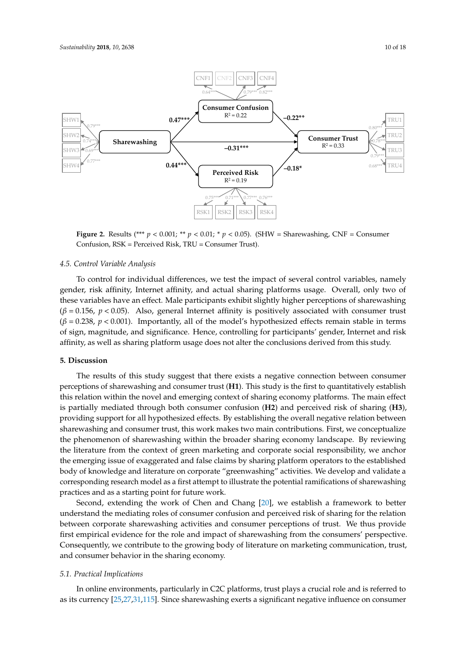<span id="page-9-0"></span>

**Figure 2.** Results (\*\*\*  $p < 0.001$ ; \*\*  $p < 0.01$ ; \*  $p < 0.05$ ). (SHW = Sharewashing, CNF = Consumer Confusion, RSK = Perceived Risk, TRU = Consumer Trust). Confusion, RSK = Perceived Risk, TRU = Consumer Trust).

# *4.5. Control Variable Analysis 4.5. Control Variable Analysis*

To control for individual differences, we test the impact of several control variables, namely To control for individual differences, we test the impact of several control variables, namely gender, risk affinity, Internet affinity, and actual sharing platforms usage. Overall, only two of filese variables have an effect. Male participants exhibit slightly higher perceptions of sharewashing (*f*  $(\beta = 0.156, p < 0.05)$ . Also, general Internet affinity is positively associated with consumer trust  $p(\beta = 0.238, p < 0.001)$ . Importantly, all of the model's hypothesized effects remain stable in terms of sign, magnitude, and significance. Hence, controlling for participants' gender, Internet and risk well as sharing platform usage does not alter the conclusions derived from this study. affinity, as well as sharing platform usage does not alter the conclusions derived from this study.

# **5. Discussion 5. Discussion**

The results of this study suggest that there exists a negative connection between consumer The results of this study suggest that there exists a negative connection between consumer perceptions of sharewashing and consumer trust (**H1**). This study is the first to quantitatively perceptions of sharewashing and consumer trust (**H1**). This study is the first to quantitatively establish this relation within the novel and emerging context of sharing economy platforms. The main effect is partially mediated through both consumer confusion (H2) and perceived risk of sharing (H3), providing support for all hypothesized effects. By establishing the overall negative relation between providing support for all hypothesized effects. By establishing the overall negative relation between sharewashing and consumer trust, this work makes two main contributions. First, we conceptualize sharewashing and consumer trust, this work makes two main contributions. First, we conceptualize the phenomenon of sharewashing within the broader sharing economy landscape. By reviewing the literature from the context of green marketing and corporate social responsibility, we anchor the emerging issue of exaggerated and false claims by sharing platform operators to the established body of knowledge and literature on corporate "greenwashing" activities. We develop and validate a corresponding research model as a first attempt to illustrate the potential ramifications of corresponding research model as a first attempt to illustrate the potential ramifications of sharewashing practices and as a starting point for future work.

Second, extending the work of Chen and Chang [20], we establish a framework to better Second, extending the work of Chen and Chang [\[20\]](#page-13-5), we establish a framework to better understand the mediating roles of consumer confusion and perceived risk of sharing for the relation understand the mediating roles of consumer confusion and perceived risk of sharing for the relation between corporate sharewashing activities and consumer perceptions of trust. We thus provide first empirical evidence for the role and impact of sharewashing from the consumers' perspective. Consequently, we contribute to the growing body of literature on marketing communication, trust, Consequently, we contribute to the growing body of literature on marketing communication, trust, and consumer behavior in the sharing economy. and consumer behavior in the sharing economy.

# *5.1. Practical Implications 5.1. Practical Implications*

In online environments, particularly in C2C platforms, trust plays a crucial role and is referred In online environments, particularly in C2C platforms, trust plays a crucial role and is referred to as its curre[ncy](#page-13-10) [\[](#page-13-11)[25,](#page-13-23)[27,31](#page-17-1),115]. Since sharewashing exerts a significant negative influence on consumer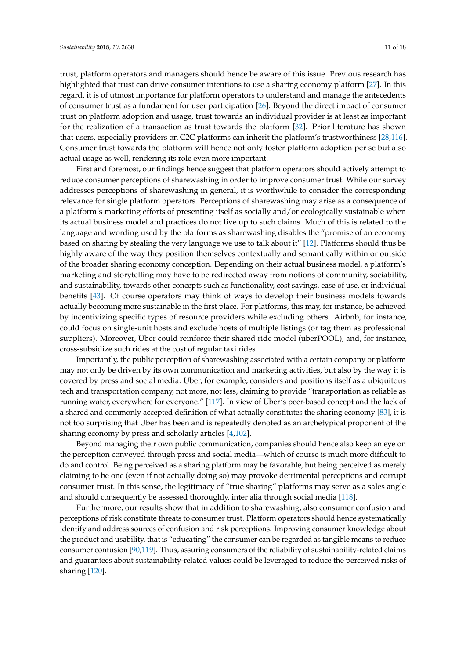trust, platform operators and managers should hence be aware of this issue. Previous research has highlighted that trust can drive consumer intentions to use a sharing economy platform [\[27\]](#page-13-11). In this regard, it is of utmost importance for platform operators to understand and manage the antecedents of consumer trust as a fundament for user participation [\[26\]](#page-13-24). Beyond the direct impact of consumer trust on platform adoption and usage, trust towards an individual provider is at least as important for the realization of a transaction as trust towards the platform [\[32\]](#page-13-15). Prior literature has shown that users, especially providers on C2C platforms can inherit the platform's trustworthiness [\[28,](#page-13-12)[116\]](#page-17-2). Consumer trust towards the platform will hence not only foster platform adoption per se but also actual usage as well, rendering its role even more important.

First and foremost, our findings hence suggest that platform operators should actively attempt to reduce consumer perceptions of sharewashing in order to improve consumer trust. While our survey addresses perceptions of sharewashing in general, it is worthwhile to consider the corresponding relevance for single platform operators. Perceptions of sharewashing may arise as a consequence of a platform's marketing efforts of presenting itself as socially and/or ecologically sustainable when its actual business model and practices do not live up to such claims. Much of this is related to the language and wording used by the platforms as sharewashing disables the "promise of an economy based on sharing by stealing the very language we use to talk about it" [\[12\]](#page-12-11). Platforms should thus be highly aware of the way they position themselves contextually and semantically within or outside of the broader sharing economy conception. Depending on their actual business model, a platform's marketing and storytelling may have to be redirected away from notions of community, sociability, and sustainability, towards other concepts such as functionality, cost savings, ease of use, or individual benefits [\[43\]](#page-14-3). Of course operators may think of ways to develop their business models towards actually becoming more sustainable in the first place. For platforms, this may, for instance, be achieved by incentivizing specific types of resource providers while excluding others. Airbnb, for instance, could focus on single-unit hosts and exclude hosts of multiple listings (or tag them as professional suppliers). Moreover, Uber could reinforce their shared ride model (uberPOOL), and, for instance, cross-subsidize such rides at the cost of regular taxi rides.

Importantly, the public perception of sharewashing associated with a certain company or platform may not only be driven by its own communication and marketing activities, but also by the way it is covered by press and social media. Uber, for example, considers and positions itself as a ubiquitous tech and transportation company, not more, not less, claiming to provide "transportation as reliable as running water, everywhere for everyone." [\[117\]](#page-17-3). In view of Uber's peer-based concept and the lack of a shared and commonly accepted definition of what actually constitutes the sharing economy [\[83\]](#page-15-19), it is not too surprising that Uber has been and is repeatedly denoted as an archetypical proponent of the sharing economy by press and scholarly articles [\[4,](#page-12-3)[102\]](#page-16-13).

Beyond managing their own public communication, companies should hence also keep an eye on the perception conveyed through press and social media—which of course is much more difficult to do and control. Being perceived as a sharing platform may be favorable, but being perceived as merely claiming to be one (even if not actually doing so) may provoke detrimental perceptions and corrupt consumer trust. In this sense, the legitimacy of "true sharing" platforms may serve as a sales angle and should consequently be assessed thoroughly, inter alia through social media [\[118\]](#page-17-4).

Furthermore, our results show that in addition to sharewashing, also consumer confusion and perceptions of risk constitute threats to consumer trust. Platform operators should hence systematically identify and address sources of confusion and risk perceptions. Improving consumer knowledge about the product and usability, that is "educating" the consumer can be regarded as tangible means to reduce consumer confusion [\[90,](#page-16-2)[119\]](#page-17-5). Thus, assuring consumers of the reliability of sustainability-related claims and guarantees about sustainability-related values could be leveraged to reduce the perceived risks of sharing [\[120\]](#page-17-6).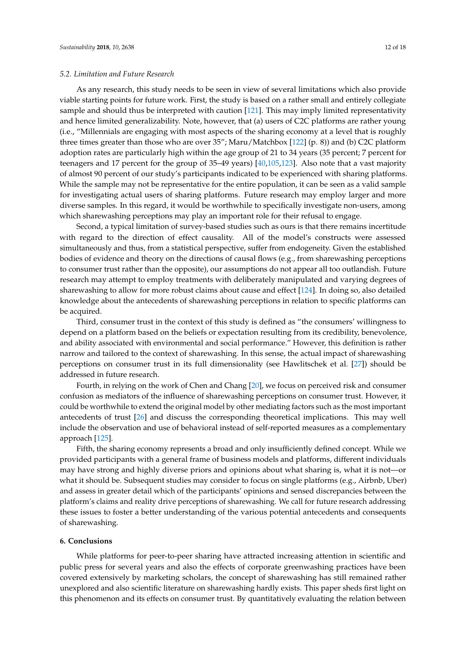#### *5.2. Limitation and Future Research*

As any research, this study needs to be seen in view of several limitations which also provide viable starting points for future work. First, the study is based on a rather small and entirely collegiate sample and should thus be interpreted with caution [\[121\]](#page-17-7). This may imply limited representativity and hence limited generalizability. Note, however, that (a) users of C2C platforms are rather young (i.e., "Millennials are engaging with most aspects of the sharing economy at a level that is roughly three times greater than those who are over 35"; Maru/Matchbox [\[122\]](#page-17-8) (p. 8)) and (b) C2C platform adoption rates are particularly high within the age group of 21 to 34 years (35 percent; 7 percent for teenagers and 17 percent for the group of 35–49 years) [\[40](#page-14-0)[,105](#page-16-24)[,123\]](#page-17-9). Also note that a vast majority of almost 90 percent of our study's participants indicated to be experienced with sharing platforms. While the sample may not be representative for the entire population, it can be seen as a valid sample for investigating actual users of sharing platforms. Future research may employ larger and more diverse samples. In this regard, it would be worthwhile to specifically investigate non-users, among which sharewashing perceptions may play an important role for their refusal to engage.

Second, a typical limitation of survey-based studies such as ours is that there remains incertitude with regard to the direction of effect causality. All of the model's constructs were assessed simultaneously and thus, from a statistical perspective, suffer from endogeneity. Given the established bodies of evidence and theory on the directions of causal flows (e.g., from sharewashing perceptions to consumer trust rather than the opposite), our assumptions do not appear all too outlandish. Future research may attempt to employ treatments with deliberately manipulated and varying degrees of sharewashing to allow for more robust claims about cause and effect [\[124\]](#page-17-10). In doing so, also detailed knowledge about the antecedents of sharewashing perceptions in relation to specific platforms can be acquired.

Third, consumer trust in the context of this study is defined as "the consumers' willingness to depend on a platform based on the beliefs or expectation resulting from its credibility, benevolence, and ability associated with environmental and social performance." However, this definition is rather narrow and tailored to the context of sharewashing. In this sense, the actual impact of sharewashing perceptions on consumer trust in its full dimensionality (see Hawlitschek et al. [\[27\]](#page-13-11)) should be addressed in future research.

Fourth, in relying on the work of Chen and Chang [\[20\]](#page-13-5), we focus on perceived risk and consumer confusion as mediators of the influence of sharewashing perceptions on consumer trust. However, it could be worthwhile to extend the original model by other mediating factors such as the most important antecedents of trust [\[26\]](#page-13-24) and discuss the corresponding theoretical implications. This may well include the observation and use of behavioral instead of self-reported measures as a complementary approach [\[125\]](#page-17-11).

Fifth, the sharing economy represents a broad and only insufficiently defined concept. While we provided participants with a general frame of business models and platforms, different individuals may have strong and highly diverse priors and opinions about what sharing is, what it is not—or what it should be. Subsequent studies may consider to focus on single platforms (e.g., Airbnb, Uber) and assess in greater detail which of the participants' opinions and sensed discrepancies between the platform's claims and reality drive perceptions of sharewashing. We call for future research addressing these issues to foster a better understanding of the various potential antecedents and consequents of sharewashing.

#### **6. Conclusions**

While platforms for peer-to-peer sharing have attracted increasing attention in scientific and public press for several years and also the effects of corporate greenwashing practices have been covered extensively by marketing scholars, the concept of sharewashing has still remained rather unexplored and also scientific literature on sharewashing hardly exists. This paper sheds first light on this phenomenon and its effects on consumer trust. By quantitatively evaluating the relation between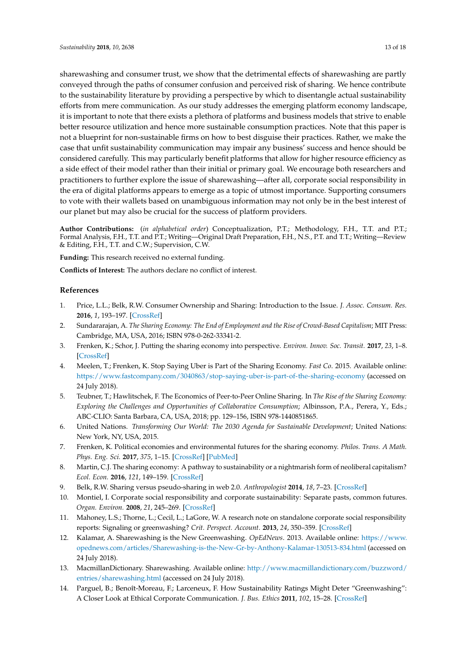sharewashing and consumer trust, we show that the detrimental effects of sharewashing are partly conveyed through the paths of consumer confusion and perceived risk of sharing. We hence contribute to the sustainability literature by providing a perspective by which to disentangle actual sustainability efforts from mere communication. As our study addresses the emerging platform economy landscape, it is important to note that there exists a plethora of platforms and business models that strive to enable better resource utilization and hence more sustainable consumption practices. Note that this paper is not a blueprint for non-sustainable firms on how to best disguise their practices. Rather, we make the case that unfit sustainability communication may impair any business' success and hence should be considered carefully. This may particularly benefit platforms that allow for higher resource efficiency as a side effect of their model rather than their initial or primary goal. We encourage both researchers and practitioners to further explore the issue of sharewashing—after all, corporate social responsibility in the era of digital platforms appears to emerge as a topic of utmost importance. Supporting consumers to vote with their wallets based on unambiguous information may not only be in the best interest of our planet but may also be crucial for the success of platform providers.

**Author Contributions:** (*in alphabetical order*) Conceptualization, P.T.; Methodology, F.H., T.T. and P.T.; Formal Analysis, F.H., T.T. and P.T.; Writing—Original Draft Preparation, F.H., N.S., P.T. and T.T.; Writing—Review & Editing, F.H., T.T. and C.W.; Supervision, C.W.

**Funding:** This research received no external funding.

**Conflicts of Interest:** The authors declare no conflict of interest.

## **References**

- <span id="page-12-0"></span>1. Price, L.L.; Belk, R.W. Consumer Ownership and Sharing: Introduction to the Issue. *J. Assoc. Consum. Res.* **2016**, *1*, 193–197. [\[CrossRef\]](http://dx.doi.org/10.1086/686270)
- <span id="page-12-1"></span>2. Sundararajan, A. *The Sharing Economy: The End of Employment and the Rise of Crowd-Based Capitalism*; MIT Press: Cambridge, MA, USA, 2016; ISBN 978-0-262-33341-2.
- <span id="page-12-2"></span>3. Frenken, K.; Schor, J. Putting the sharing economy into perspective. *Environ. Innov. Soc. Transit.* **2017**, *23*, 1–8. [\[CrossRef\]](http://dx.doi.org/10.1016/j.eist.2017.04.004)
- <span id="page-12-3"></span>4. Meelen, T.; Frenken, K. Stop Saying Uber is Part of the Sharing Economy. *Fast Co*. 2015. Available online: <https://www.fastcompany.com/3040863/stop-saying-uber-is-part-of-the-sharing-economy> (accessed on 24 July 2018).
- <span id="page-12-4"></span>5. Teubner, T.; Hawlitschek, F. The Economics of Peer-to-Peer Online Sharing. In *The Rise of the Sharing Economy: Exploring the Challenges and Opportunities of Collaborative Consumption*; Albinsson, P.A., Perera, Y., Eds.; ABC-CLIO: Santa Barbara, CA, USA, 2018; pp. 129–156, ISBN 978-1440851865.
- <span id="page-12-5"></span>6. United Nations. *Transforming Our World: The 2030 Agenda for Sustainable Development*; United Nations: New York, NY, USA, 2015.
- <span id="page-12-6"></span>7. Frenken, K. Political economies and environmental futures for the sharing economy. *Philos. Trans. A Math. Phys. Eng. Sci.* **2017**, *375*, 1–15. [\[CrossRef\]](http://dx.doi.org/10.1098/rsta.2016.0367) [\[PubMed\]](http://www.ncbi.nlm.nih.gov/pubmed/28461431)
- <span id="page-12-7"></span>8. Martin, C.J. The sharing economy: A pathway to sustainability or a nightmarish form of neoliberal capitalism? *Ecol. Econ.* **2016**, *121*, 149–159. [\[CrossRef\]](http://dx.doi.org/10.1016/j.ecolecon.2015.11.027)
- <span id="page-12-8"></span>9. Belk, R.W. Sharing versus pseudo-sharing in web 2.0. *Anthropologist* **2014**, *18*, 7–23. [\[CrossRef\]](http://dx.doi.org/10.1080/09720073.2014.11891518)
- <span id="page-12-9"></span>10. Montiel, I. Corporate social responsibility and corporate sustainability: Separate pasts, common futures. *Organ. Environ.* **2008**, *21*, 245–269. [\[CrossRef\]](http://dx.doi.org/10.1177/1086026608321329)
- <span id="page-12-10"></span>11. Mahoney, L.S.; Thorne, L.; Cecil, L.; LaGore, W. A research note on standalone corporate social responsibility reports: Signaling or greenwashing? *Crit. Perspect. Account.* **2013**, *24*, 350–359. [\[CrossRef\]](http://dx.doi.org/10.1016/j.cpa.2012.09.008)
- <span id="page-12-11"></span>12. Kalamar, A. Sharewashing is the New Greenwashing. *OpEdNews*. 2013. Available online: [https://www.](https://www.opednews.com/articles/Sharewashing-is-the-New-Gr-by-Anthony-Kalamar-130513-834.html) [opednews.com/articles/Sharewashing-is-the-New-Gr-by-Anthony-Kalamar-130513-834.html](https://www.opednews.com/articles/Sharewashing-is-the-New-Gr-by-Anthony-Kalamar-130513-834.html) (accessed on 24 July 2018).
- <span id="page-12-12"></span>13. MacmillanDictionary. Sharewashing. Available online: [http://www.macmillandictionary.com/buzzword/](http://www.macmillandictionary.com/buzzword/entries/sharewashing.html) [entries/sharewashing.html](http://www.macmillandictionary.com/buzzword/entries/sharewashing.html) (accessed on 24 July 2018).
- <span id="page-12-13"></span>14. Parguel, B.; Benoît-Moreau, F.; Larceneux, F. How Sustainability Ratings Might Deter "Greenwashing": A Closer Look at Ethical Corporate Communication. *J. Bus. Ethics* **2011**, *102*, 15–28. [\[CrossRef\]](http://dx.doi.org/10.1007/s10551-011-0901-2)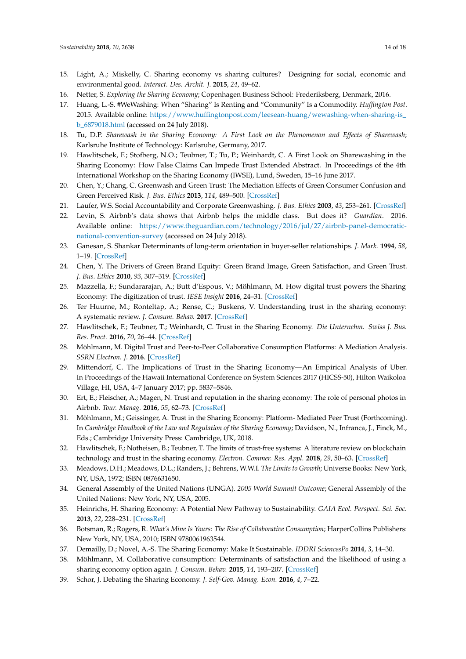- <span id="page-13-0"></span>15. Light, A.; Miskelly, C. Sharing economy vs sharing cultures? Designing for social, economic and environmental good. *Interact. Des. Archit. J.* **2015**, *24*, 49–62.
- <span id="page-13-1"></span>16. Netter, S. *Exploring the Sharing Economy*; Copenhagen Business School: Frederiksberg, Denmark, 2016.
- <span id="page-13-2"></span>17. Huang, L.-S. #WeWashing: When "Sharing" Is Renting and "Community" Is a Commodity. *Huffington Post*. 2015. Available online: [https://www.huffingtonpost.com/leesean-huang/wewashing-when-sharing-is\\_](https://www.huffingtonpost.com/leesean-huang/wewashing-when-sharing-is_b_6879018.html) [b\\_6879018.html](https://www.huffingtonpost.com/leesean-huang/wewashing-when-sharing-is_b_6879018.html) (accessed on 24 July 2018).
- <span id="page-13-3"></span>18. Tu, D.P. *Sharewash in the Sharing Economy: A First Look on the Phenomenon and Effects of Sharewash*; Karlsruhe Institute of Technology: Karlsruhe, Germany, 2017.
- <span id="page-13-4"></span>19. Hawlitschek, F.; Stofberg, N.O.; Teubner, T.; Tu, P.; Weinhardt, C. A First Look on Sharewashing in the Sharing Economy: How False Claims Can Impede Trust Extended Abstract. In Proceedings of the 4th International Workshop on the Sharing Economy (IWSE), Lund, Sweden, 15–16 June 2017.
- <span id="page-13-5"></span>20. Chen, Y.; Chang, C. Greenwash and Green Trust: The Mediation Effects of Green Consumer Confusion and Green Perceived Risk. *J. Bus. Ethics* **2013**, *114*, 489–500. [\[CrossRef\]](http://dx.doi.org/10.1007/s10551-012-1360-0)
- <span id="page-13-6"></span>21. Laufer, W.S. Social Accountability and Corporate Greenwashing. *J. Bus. Ethics* **2003**, *43*, 253–261. [\[CrossRef\]](http://dx.doi.org/10.1023/A:1022962719299)
- <span id="page-13-7"></span>22. Levin, S. Airbnb's data shows that Airbnb helps the middle class. But does it? *Guardian*. 2016. Available online: [https://www.theguardian.com/technology/2016/jul/27/airbnb-panel-democratic](https://www.theguardian.com/technology/2016/jul/27/airbnb-panel-democratic-national-convention-survey)[national-convention-survey](https://www.theguardian.com/technology/2016/jul/27/airbnb-panel-democratic-national-convention-survey) (accessed on 24 July 2018).
- <span id="page-13-8"></span>23. Ganesan, S. Shankar Determinants of long-term orientation in buyer-seller relationships. *J. Mark.* **1994**, *58*, 1–19. [\[CrossRef\]](http://dx.doi.org/10.2307/1252265)
- <span id="page-13-9"></span>24. Chen, Y. The Drivers of Green Brand Equity: Green Brand Image, Green Satisfaction, and Green Trust. *J. Bus. Ethics* **2010**, *93*, 307–319. [\[CrossRef\]](http://dx.doi.org/10.1007/s10551-009-0223-9)
- <span id="page-13-10"></span>25. Mazzella, F.; Sundararajan, A.; Butt d'Espous, V.; Möhlmann, M. How digital trust powers the Sharing Economy: The digitization of trust. *IESE Insight* **2016**, 24–31. [\[CrossRef\]](http://dx.doi.org/10.15581/002.ART-2887)
- <span id="page-13-24"></span>26. Ter Huurne, M.; Ronteltap, A.; Rense, C.; Buskens, V. Understanding trust in the sharing economy: A systematic review. *J. Consum. Behav.* **2017**. [\[CrossRef\]](http://dx.doi.org/10.1002/cb.1667)
- <span id="page-13-11"></span>27. Hawlitschek, F.; Teubner, T.; Weinhardt, C. Trust in the Sharing Economy. *Die Unternehm. Swiss J. Bus. Res. Pract.* **2016**, *70*, 26–44. [\[CrossRef\]](http://dx.doi.org/10.5771/0042-059X-2016-1-26)
- <span id="page-13-12"></span>28. Möhlmann, M. Digital Trust and Peer-to-Peer Collaborative Consumption Platforms: A Mediation Analysis. *SSRN Electron. J.* **2016**. [\[CrossRef\]](http://dx.doi.org/10.2139/ssrn.2813367)
- <span id="page-13-13"></span>29. Mittendorf, C. The Implications of Trust in the Sharing Economy—An Empirical Analysis of Uber. In Proceedings of the Hawaii International Conference on System Sciences 2017 (HICSS-50), Hilton Waikoloa Village, HI, USA, 4–7 January 2017; pp. 5837–5846.
- <span id="page-13-14"></span>30. Ert, E.; Fleischer, A.; Magen, N. Trust and reputation in the sharing economy: The role of personal photos in Airbnb. *Tour. Manag.* **2016**, *55*, 62–73. [\[CrossRef\]](http://dx.doi.org/10.1016/j.tourman.2016.01.013)
- <span id="page-13-23"></span>31. Möhlmann, M.; Geissinger, A. Trust in the Sharing Economy: Platform- Mediated Peer Trust (Forthcoming). In *Cambridge Handbook of the Law and Regulation of the Sharing Economy*; Davidson, N., Infranca, J., Finck, M., Eds.; Cambridge University Press: Cambridge, UK, 2018.
- <span id="page-13-15"></span>32. Hawlitschek, F.; Notheisen, B.; Teubner, T. The limits of trust-free systems: A literature review on blockchain technology and trust in the sharing economy. *Electron. Commer. Res. Appl.* **2018**, *29*, 50–63. [\[CrossRef\]](http://dx.doi.org/10.1016/j.elerap.2018.03.005)
- <span id="page-13-16"></span>33. Meadows, D.H.; Meadows, D.L.; Randers, J.; Behrens, W.W.I. *The Limits to Growth*; Universe Books: New York, NY, USA, 1972; ISBN 0876631650.
- <span id="page-13-17"></span>34. General Assembly of the United Nations (UNGA). *2005 World Summit Outcome*; General Assembly of the United Nations: New York, NY, USA, 2005.
- <span id="page-13-18"></span>35. Heinrichs, H. Sharing Economy: A Potential New Pathway to Sustainability. *GAIA Ecol. Perspect. Sci. Soc.* **2013**, *22*, 228–231. [\[CrossRef\]](http://dx.doi.org/10.14512/gaia.22.4.5)
- <span id="page-13-19"></span>36. Botsman, R.; Rogers, R. *What's Mine Is Yours: The Rise of Collaborative Consumption*; HarperCollins Publishers: New York, NY, USA, 2010; ISBN 9780061963544.
- <span id="page-13-20"></span>37. Demailly, D.; Novel, A.-S. The Sharing Economy: Make It Sustainable. *IDDRI SciencesPo* **2014**, *3*, 14–30.
- <span id="page-13-21"></span>38. Möhlmann, M. Collaborative consumption: Determinants of satisfaction and the likelihood of using a sharing economy option again. *J. Consum. Behav.* **2015**, *14*, 193–207. [\[CrossRef\]](http://dx.doi.org/10.1002/cb.1512)
- <span id="page-13-22"></span>39. Schor, J. Debating the Sharing Economy. *J. Self-Gov. Manag. Econ.* **2016**, *4*, 7–22.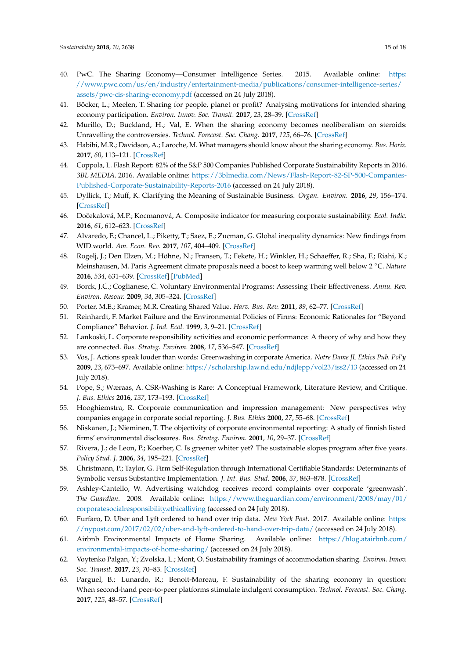- <span id="page-14-0"></span>40. PwC. The Sharing Economy—Consumer Intelligence Series. 2015. Available online: [https:](https://www.pwc.com/us/en/industry/entertainment-media/publications/consumer-intelligence-series/assets/pwc-cis-sharing-economy.pdf) [//www.pwc.com/us/en/industry/entertainment-media/publications/consumer-intelligence-series/](https://www.pwc.com/us/en/industry/entertainment-media/publications/consumer-intelligence-series/assets/pwc-cis-sharing-economy.pdf) [assets/pwc-cis-sharing-economy.pdf](https://www.pwc.com/us/en/industry/entertainment-media/publications/consumer-intelligence-series/assets/pwc-cis-sharing-economy.pdf) (accessed on 24 July 2018).
- <span id="page-14-1"></span>41. Böcker, L.; Meelen, T. Sharing for people, planet or profit? Analysing motivations for intended sharing economy participation. *Environ. Innov. Soc. Transit.* **2017**, *23*, 28–39. [\[CrossRef\]](http://dx.doi.org/10.1016/j.eist.2016.09.004)
- <span id="page-14-2"></span>42. Murillo, D.; Buckland, H.; Val, E. When the sharing economy becomes neoliberalism on steroids: Unravelling the controversies. *Technol. Forecast. Soc. Chang.* **2017**, *125*, 66–76. [\[CrossRef\]](http://dx.doi.org/10.1016/j.techfore.2017.05.024)
- <span id="page-14-3"></span>43. Habibi, M.R.; Davidson, A.; Laroche, M. What managers should know about the sharing economy. *Bus. Horiz.* **2017**, *60*, 113–121. [\[CrossRef\]](http://dx.doi.org/10.1016/j.bushor.2016.09.007)
- <span id="page-14-4"></span>44. Coppola, L. Flash Report: 82% of the S&P 500 Companies Published Corporate Sustainability Reports in 2016. *3BL MEDIA*. 2016. Available online: [https://3blmedia.com/News/Flash-Report-82-SP-500-Companies-](https://3blmedia.com/News/Flash-Report-82-SP-500-Companies-Published-Corporate-Sustainability-Reports-2016)[Published-Corporate-Sustainability-Reports-2016](https://3blmedia.com/News/Flash-Report-82-SP-500-Companies-Published-Corporate-Sustainability-Reports-2016) (accessed on 24 July 2018).
- <span id="page-14-5"></span>45. Dyllick, T.; Muff, K. Clarifying the Meaning of Sustainable Business. *Organ. Environ.* **2016**, *29*, 156–174. [\[CrossRef\]](http://dx.doi.org/10.1177/1086026615575176)
- <span id="page-14-6"></span>46. Doˇcekalová, M.P.; Kocmanová, A. Composite indicator for measuring corporate sustainability. *Ecol. Indic.* **2016**, *61*, 612–623. [\[CrossRef\]](http://dx.doi.org/10.1016/j.ecolind.2015.10.012)
- <span id="page-14-7"></span>47. Alvaredo, F.; Chancel, L.; Piketty, T.; Saez, E.; Zucman, G. Global inequality dynamics: New findings from WID.world. *Am. Econ. Rev.* **2017**, *107*, 404–409. [\[CrossRef\]](http://dx.doi.org/10.1257/aer.p20171095)
- <span id="page-14-8"></span>48. Rogelj, J.; Den Elzen, M.; Höhne, N.; Fransen, T.; Fekete, H.; Winkler, H.; Schaeffer, R.; Sha, F.; Riahi, K.; Meinshausen, M. Paris Agreement climate proposals need a boost to keep warming well below 2 ◦C. *Nature* **2016**, *534*, 631–639. [\[CrossRef\]](http://dx.doi.org/10.1038/nature18307) [\[PubMed\]](http://www.ncbi.nlm.nih.gov/pubmed/27357792)
- <span id="page-14-9"></span>49. Borck, J.C.; Coglianese, C. Voluntary Environmental Programs: Assessing Their Effectiveness. *Annu. Rev. Environ. Resour.* **2009**, *34*, 305–324. [\[CrossRef\]](http://dx.doi.org/10.1146/annurev.environ.032908.091450)
- 50. Porter, M.E.; Kramer, M.R. Creating Shared Value. *Harv. Bus. Rev.* **2011**, *89*, 62–77. [\[CrossRef\]](http://dx.doi.org/10.1108/09600039410055963)
- <span id="page-14-10"></span>51. Reinhardt, F. Market Failure and the Environmental Policies of Firms: Economic Rationales for "Beyond Compliance" Behavior. *J. Ind. Ecol.* **1999**, *3*, 9–21. [\[CrossRef\]](http://dx.doi.org/10.1162/108819899569368)
- <span id="page-14-11"></span>52. Lankoski, L. Corporate responsibility activities and economic performance: A theory of why and how they are connected. *Bus. Strateg. Environ.* **2008**, *17*, 536–547. [\[CrossRef\]](http://dx.doi.org/10.1002/bse.582)
- <span id="page-14-12"></span>53. Vos, J. Actions speak louder than words: Greenwashing in corporate America. *Notre Dame JL Ethics Pub. Pol'y* **2009**, *23*, 673–697. Available online: <https://scholarship.law.nd.edu/ndjlepp/vol23/iss2/13> (accessed on 24 July 2018).
- <span id="page-14-13"></span>54. Pope, S.; Wæraas, A. CSR-Washing is Rare: A Conceptual Framework, Literature Review, and Critique. *J. Bus. Ethics* **2016**, *137*, 173–193. [\[CrossRef\]](http://dx.doi.org/10.1007/s10551-015-2546-z)
- <span id="page-14-14"></span>55. Hooghiemstra, R. Corporate communication and impression management: New perspectives why companies engage in corporate social reporting. *J. Bus. Ethics* **2000**, *27*, 55–68. [\[CrossRef\]](http://dx.doi.org/10.1023/A:1006400707757)
- <span id="page-14-15"></span>56. Niskanen, J.; Nieminen, T. The objectivity of corporate environmental reporting: A study of finnish listed firms' environmental disclosures. *Bus. Strateg. Environ.* **2001**, *10*, 29–37. [\[CrossRef\]](http://dx.doi.org/10.1002/1099-0836(200101/02)10:1<29::AID-BSE268>3.0.CO;2-D)
- <span id="page-14-16"></span>57. Rivera, J.; de Leon, P.; Koerber, C. Is greener whiter yet? The sustainable slopes program after five years. *Policy Stud. J.* **2006**, *34*, 195–221. [\[CrossRef\]](http://dx.doi.org/10.1111/j.1541-0072.2006.00166.x)
- <span id="page-14-17"></span>58. Christmann, P.; Taylor, G. Firm Self-Regulation through International Certifiable Standards: Determinants of Symbolic versus Substantive Implementation. *J. Int. Bus. Stud.* **2006**, *37*, 863–878. [\[CrossRef\]](http://dx.doi.org/10.1057/palgrave.jibs.8400231)
- <span id="page-14-18"></span>59. Ashley-Cantello, W. Advertising watchdog receives record complaints over corporate 'greenwash'. *The Guardian*. 2008. Available online: [https://www.theguardian.com/environment/2008/may/01/](https://www.theguardian.com/environment/2008/may/01/corporatesocialresponsibility.ethicalliving) [corporatesocialresponsibility.ethicalliving](https://www.theguardian.com/environment/2008/may/01/corporatesocialresponsibility.ethicalliving) (accessed on 24 July 2018).
- <span id="page-14-19"></span>60. Furfaro, D. Uber and Lyft ordered to hand over trip data. *New York Post*. 2017. Available online: [https:](https://nypost.com/2017/02/02/uber-and-lyft-ordered-to-hand-over-trip-data/) [//nypost.com/2017/02/02/uber-and-lyft-ordered-to-hand-over-trip-data/](https://nypost.com/2017/02/02/uber-and-lyft-ordered-to-hand-over-trip-data/) (accessed on 24 July 2018).
- <span id="page-14-20"></span>61. Airbnb Environmental Impacts of Home Sharing. Available online: [https://blog.atairbnb.com/](https://blog.atairbnb.com/environmental-impacts-of-home-sharing/) [environmental-impacts-of-home-sharing/](https://blog.atairbnb.com/environmental-impacts-of-home-sharing/) (accessed on 24 July 2018).
- <span id="page-14-21"></span>62. Voytenko Palgan, Y.; Zvolska, L.; Mont, O. Sustainability framings of accommodation sharing. *Environ. Innov. Soc. Transit.* **2017**, *23*, 70–83. [\[CrossRef\]](http://dx.doi.org/10.1016/j.eist.2016.12.002)
- <span id="page-14-22"></span>63. Parguel, B.; Lunardo, R.; Benoit-Moreau, F. Sustainability of the sharing economy in question: When second-hand peer-to-peer platforms stimulate indulgent consumption. *Technol. Forecast. Soc. Chang.* **2017**, *125*, 48–57. [\[CrossRef\]](http://dx.doi.org/10.1016/j.techfore.2017.03.029)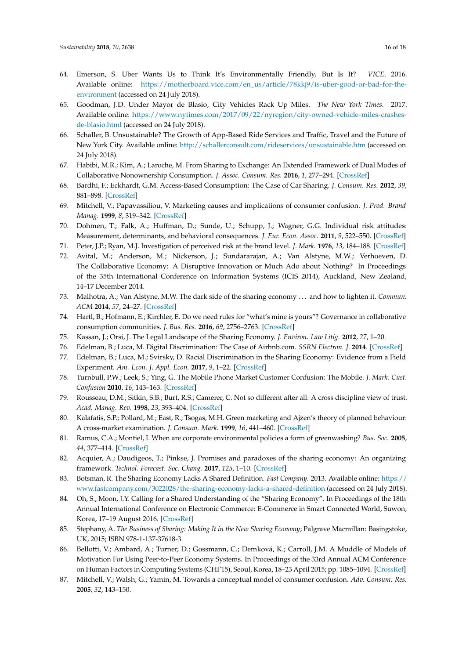- <span id="page-15-0"></span>64. Emerson, S. Uber Wants Us to Think It's Environmentally Friendly, But Is It? *VICE*. 2016. Available online: [https://motherboard.vice.com/en\\_us/article/78kkj9/is-uber-good-or-bad-for-the](https://motherboard.vice.com/en_us/article/78kkj9/is-uber-good-or-bad-for-the-environment)[environment](https://motherboard.vice.com/en_us/article/78kkj9/is-uber-good-or-bad-for-the-environment) (accessed on 24 July 2018).
- <span id="page-15-1"></span>65. Goodman, J.D. Under Mayor de Blasio, City Vehicles Rack Up Miles. *The New York Times*. 2017. Available online: [https://www.nytimes.com/2017/09/22/nyregion/city-owned-vehicle-miles-crashes](https://www.nytimes.com/2017/09/22/nyregion/city-owned-vehicle-miles-crashes-de-blasio.html)[de-blasio.html](https://www.nytimes.com/2017/09/22/nyregion/city-owned-vehicle-miles-crashes-de-blasio.html) (accessed on 24 July 2018).
- <span id="page-15-2"></span>66. Schaller, B. Unsustainable? The Growth of App-Based Ride Services and Traffic, Travel and the Future of New York City. Available online: <http://schallerconsult.com/rideservices/unsustainable.htm> (accessed on 24 July 2018).
- <span id="page-15-3"></span>67. Habibi, M.R.; Kim, A.; Laroche, M. From Sharing to Exchange: An Extended Framework of Dual Modes of Collaborative Nonownership Consumption. *J. Assoc. Consum. Res.* **2016**, *1*, 277–294. [\[CrossRef\]](http://dx.doi.org/10.1086/684685)
- <span id="page-15-4"></span>68. Bardhi, F.; Eckhardt, G.M. Access-Based Consumption: The Case of Car Sharing. *J. Consum. Res.* **2012**, *39*, 881–898. [\[CrossRef\]](http://dx.doi.org/10.1086/666376)
- <span id="page-15-5"></span>69. Mitchell, V.; Papavassiliou, V. Marketing causes and implications of consumer confusion. *J. Prod. Brand Manag.* **1999**, *8*, 319–342. [\[CrossRef\]](http://dx.doi.org/10.1108/10610429910284300)
- <span id="page-15-6"></span>70. Dohmen, T.; Falk, A.; Huffman, D.; Sunde, U.; Schupp, J.; Wagner, G.G. Individual risk attitudes: Measurement, determinants, and behavioral consequences. *J. Eur. Econ. Assoc.* **2011**, *9*, 522–550. [\[CrossRef\]](http://dx.doi.org/10.1111/j.1542-4774.2011.01015.x)
- <span id="page-15-8"></span><span id="page-15-7"></span>71. Peter, J.P.; Ryan, M.J. Investigation of perceived risk at the brand level. *J. Mark.* **1976**, *13*, 184–188. [\[CrossRef\]](http://dx.doi.org/10.2307/3150856)
- 72. Avital, M.; Anderson, M.; Nickerson, J.; Sundararajan, A.; Van Alstyne, M.W.; Verhoeven, D. The Collaborative Economy: A Disruptive Innovation or Much Ado about Nothing? In Proceedings of the 35th International Conference on Information Systems (ICIS 2014), Auckland, New Zealand, 14–17 December 2014.
- <span id="page-15-9"></span>73. Malhotra, A.; Van Alstyne, M.W. The dark side of the sharing economy . . . and how to lighten it. *Commun. ACM* **2014**, *57*, 24–27. [\[CrossRef\]](http://dx.doi.org/10.1145/2668893)
- <span id="page-15-10"></span>74. Hartl, B.; Hofmann, E.; Kirchler, E. Do we need rules for "what's mine is yours"? Governance in collaborative consumption communities. *J. Bus. Res.* **2016**, *69*, 2756–2763. [\[CrossRef\]](http://dx.doi.org/10.1016/j.jbusres.2015.11.011)
- <span id="page-15-11"></span>75. Kassan, J.; Orsi, J. The Legal Landscape of the Sharing Economy. *J. Environ. Law Litig.* **2012**, *27*, 1–20.
- <span id="page-15-12"></span>76. Edelman, B.; Luca, M. Digital Discrimination: The Case of Airbnb.com. *SSRN Electron. J.* **2014**. [\[CrossRef\]](http://dx.doi.org/10.2139/ssrn.2377353)
- <span id="page-15-13"></span>77. Edelman, B.; Luca, M.; Svirsky, D. Racial Discrimination in the Sharing Economy: Evidence from a Field Experiment. *Am. Econ. J. Appl. Econ.* **2017**, *9*, 1–22. [\[CrossRef\]](http://dx.doi.org/10.1257/app.20160213)
- <span id="page-15-14"></span>78. Turnbull, P.W.; Leek, S.; Ying, G. The Mobile Phone Market Customer Confusion: The Mobile. *J. Mark. Cust. Confusion* **2010**, *16*, 143–163. [\[CrossRef\]](http://dx.doi.org/10.1362/026725700785100523)
- <span id="page-15-15"></span>79. Rousseau, D.M.; Sitkin, S.B.; Burt, R.S.; Camerer, C. Not so different after all: A cross discipline view of trust. *Acad. Manag. Rev.* **1998**, *23*, 393–404. [\[CrossRef\]](http://dx.doi.org/10.5465/amr.1998.926617)
- <span id="page-15-16"></span>80. Kalafatis, S.P.; Pollard, M.; East, R.; Tsogas, M.H. Green marketing and Ajzen's theory of planned behaviour: A cross-market examination. *J. Consum. Mark.* **1999**, *16*, 441–460. [\[CrossRef\]](http://dx.doi.org/10.1108/07363769910289550)
- <span id="page-15-17"></span>81. Ramus, C.A.; Montiel, I. When are corporate environmental policies a form of greenwashing? *Bus. Soc.* **2005**, *44*, 377–414. [\[CrossRef\]](http://dx.doi.org/10.1177/0007650305278120)
- <span id="page-15-18"></span>82. Acquier, A.; Daudigeos, T.; Pinkse, J. Promises and paradoxes of the sharing economy: An organizing framework. *Technol. Forecast. Soc. Chang.* **2017**, *125*, 1–10. [\[CrossRef\]](http://dx.doi.org/10.1016/j.techfore.2017.07.006)
- <span id="page-15-19"></span>83. Botsman, R. The Sharing Economy Lacks A Shared Definition. *Fast Company*. 2013. Available online: [https://](https://www.fastcompany.com/3022028/the-sharing-economy-lacks-a-shared-definition) [www.fastcompany.com/3022028/the-sharing-economy-lacks-a-shared-definition](https://www.fastcompany.com/3022028/the-sharing-economy-lacks-a-shared-definition) (accessed on 24 July 2018).
- <span id="page-15-20"></span>84. Oh, S.; Moon, J.Y. Calling for a Shared Understanding of the "Sharing Economy". In Proceedings of the 18th Annual International Conference on Electronic Commerce: E-Commerce in Smart Connected World, Suwon, Korea, 17–19 August 2016. [\[CrossRef\]](http://dx.doi.org/10.1145/2971603.2971638)
- <span id="page-15-21"></span>85. Stephany, A. *The Business of Sharing: Making It in the New Sharing Economy*; Palgrave Macmillan: Basingstoke, UK, 2015; ISBN 978-1-137-37618-3.
- <span id="page-15-22"></span>86. Bellotti, V.; Ambard, A.; Turner, D.; Gossmann, C.; Demková, K.; Carroll, J.M. A Muddle of Models of Motivation For Using Peer-to-Peer Economy Systems. In Proceedings of the 33rd Annual ACM Conference on Human Factors in Computing Systems (CHI'15), Seoul, Korea, 18–23 April 2015; pp. 1085–1094. [\[CrossRef\]](http://dx.doi.org/10.1145/2702123.2702272)
- <span id="page-15-23"></span>87. Mitchell, V.; Walsh, G.; Yamin, M. Towards a conceptual model of consumer confusion. *Adv. Consum. Res.* **2005**, *32*, 143–150.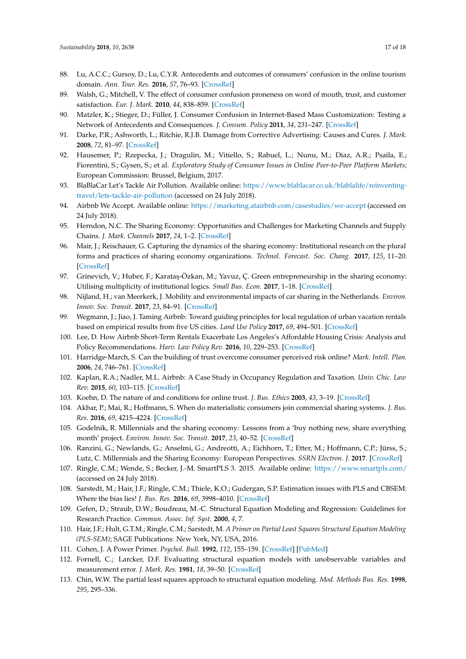- <span id="page-16-0"></span>88. Lu, A.C.C.; Gursoy, D.; Lu, C.Y.R. Antecedents and outcomes of consumers' confusion in the online tourism domain. *Ann. Tour. Res.* **2016**, *57*, 76–93. [\[CrossRef\]](http://dx.doi.org/10.1016/j.annals.2015.11.020)
- <span id="page-16-1"></span>89. Walsh, G.; Mitchell, V. The effect of consumer confusion proneness on word of mouth, trust, and customer satisfaction. *Eur. J. Mark.* **2010**, *44*, 838–859. [\[CrossRef\]](http://dx.doi.org/10.1108/03090561011032739)
- <span id="page-16-2"></span>90. Matzler, K.; Stieger, D.; Füller, J. Consumer Confusion in Internet-Based Mass Customization: Testing a Network of Antecedents and Consequences. *J. Consum. Policy* **2011**, *34*, 231–247. [\[CrossRef\]](http://dx.doi.org/10.1007/s10603-011-9157-6)
- <span id="page-16-3"></span>91. Darke, P.R.; Ashworth, L.; Ritchie, R.J.B. Damage from Corrective Advertising: Causes and Cures. *J. Mark.* **2008**, *72*, 81–97. [\[CrossRef\]](http://dx.doi.org/10.1509/jmkg.72.6.81)
- <span id="page-16-4"></span>92. Hausemer, P.; Rzepecka, J.; Dragulin, M.; Vitiello, S.; Rabuel, L.; Nunu, M.; Diaz, A.R.; Psaila, E.; Fiorentini, S.; Gysen, S.; et al. *Exploratory Study of Consumer Issues in Online Peer-to-Peer Platform Markets*; European Commission: Brussel, Belgium, 2017.
- <span id="page-16-5"></span>93. BlaBlaCar Let's Tackle Air Pollution. Available online: [https://www.blablacar.co.uk/blablalife/reinventing](https://www.blablacar.co.uk/blablalife/reinventing-travel/lets-tackle-air-pollution)[travel/lets-tackle-air-pollution](https://www.blablacar.co.uk/blablalife/reinventing-travel/lets-tackle-air-pollution) (accessed on 24 July 2018).
- <span id="page-16-6"></span>94. Airbnb We Accept. Available online: <https://marketing.atairbnb.com/casestudies/we-accept> (accessed on 24 July 2018).
- <span id="page-16-7"></span>95. Herndon, N.C. The Sharing Economy: Opportunities and Challenges for Marketing Channels and Supply Chains. *J. Mark. Channels* **2017**, *24*, 1–2. [\[CrossRef\]](http://dx.doi.org/10.1080/1046669X.2017.1346970)
- <span id="page-16-8"></span>96. Mair, J.; Reischauer, G. Capturing the dynamics of the sharing economy: Institutional research on the plural forms and practices of sharing economy organizations. *Technol. Forecast. Soc. Chang.* **2017**, *125*, 11–20. [\[CrossRef\]](http://dx.doi.org/10.1016/j.techfore.2017.05.023)
- <span id="page-16-9"></span>97. Grinevich, V.; Huber, F.; Karataş-Özkan, M.; Yavuz, Ç. Green entrepreneurship in the sharing economy: Utilising multiplicity of institutional logics. *Small Bus. Econ.* **2017**, 1–18. [\[CrossRef\]](http://dx.doi.org/10.1007/s11187-017-9935-x)
- 98. Nijland, H.; van Meerkerk, J. Mobility and environmental impacts of car sharing in the Netherlands. *Environ. Innov. Soc. Transit.* **2017**, *23*, 84–91. [\[CrossRef\]](http://dx.doi.org/10.1016/j.eist.2017.02.001)
- <span id="page-16-10"></span>99. Wegmann, J.; Jiao, J. Taming Airbnb: Toward guiding principles for local regulation of urban vacation rentals based on empirical results from five US cities. *Land Use Policy* **2017**, *69*, 494–501. [\[CrossRef\]](http://dx.doi.org/10.1016/j.landusepol.2017.09.025)
- <span id="page-16-11"></span>100. Lee, D. How Airbnb Short-Term Rentals Exacerbate Los Angeles's Affordable Housing Crisis: Analysis and Policy Recommendations. *Harv. Law Policy Rev.* **2016**, *10*, 229–253. [\[CrossRef\]](http://dx.doi.org/10.1525/sp.2007.54.1.23)
- <span id="page-16-12"></span>101. Harridge-March, S. Can the building of trust overcome consumer perceived risk online? *Mark. Intell. Plan.* **2006**, *24*, 746–761. [\[CrossRef\]](http://dx.doi.org/10.1108/02634500610711897)
- <span id="page-16-13"></span>102. Kaplan, R.A.; Nadler, M.L. Airbnb: A Case Study in Occupancy Regulation and Taxation. *Univ. Chic. Law Rev.* **2015**, *60*, 103–115. [\[CrossRef\]](http://dx.doi.org/10.1525/sp.2007.54.1.23)
- <span id="page-16-14"></span>103. Koehn, D. The nature of and conditions for online trust. *J. Bus. Ethics* **2003**, *43*, 3–19. [\[CrossRef\]](http://dx.doi.org/10.1023/A:1022950813386)
- <span id="page-16-15"></span>104. Akbar, P.; Mai, R.; Hoffmann, S. When do materialistic consumers join commercial sharing systems. *J. Bus. Res.* **2016**, *69*, 4215–4224. [\[CrossRef\]](http://dx.doi.org/10.1016/j.jbusres.2016.03.003)
- <span id="page-16-24"></span>105. Godelnik, R. Millennials and the sharing economy: Lessons from a 'buy nothing new, share everything month' project. *Environ. Innov. Soc. Transit.* **2017**, *23*, 40–52. [\[CrossRef\]](http://dx.doi.org/10.1016/j.eist.2017.02.002)
- <span id="page-16-16"></span>106. Ranzini, G.; Newlands, G.; Anselmi, G.; Andreotti, A.; Eichhorn, T.; Etter, M.; Hoffmann, C.P.; Jürss, S.; Lutz, C. Millennials and the Sharing Economy: European Perspectives. *SSRN Electron. J.* **2017**. [\[CrossRef\]](http://dx.doi.org/10.2139/ssrn.3061704)
- <span id="page-16-17"></span>107. Ringle, C.M.; Wende, S.; Becker, J.-M. SmartPLS 3. 2015. Available online: <https://www.smartpls.com/> (accessed on 24 July 2018).
- <span id="page-16-18"></span>108. Sarstedt, M.; Hair, J.F.; Ringle, C.M.; Thiele, K.O.; Gudergan, S.P. Estimation issues with PLS and CBSEM: Where the bias lies! *J. Bus. Res.* **2016**, *69*, 3998–4010. [\[CrossRef\]](http://dx.doi.org/10.1016/j.jbusres.2016.06.007)
- <span id="page-16-19"></span>109. Gefen, D.; Straub, D.W.; Boudreau, M.-C. Structural Equation Modeling and Regression: Guidelines for Research Practice. *Commun. Assoc. Inf. Syst.* **2000**, *4*, 7.
- <span id="page-16-20"></span>110. Hair, J.F.; Hult, G.T.M.; Ringle, C.M.; Sarstedt, M. *A Primer on Partial Least Squares Structural Equation Modeling (PLS-SEM)*; SAGE Publications: New York, NY, USA, 2016.
- <span id="page-16-21"></span>111. Cohen, J. A Power Primer. *Psychol. Bull.* **1992**, *112*, 155–159. [\[CrossRef\]](http://dx.doi.org/10.1037/0033-2909.112.1.155) [\[PubMed\]](http://www.ncbi.nlm.nih.gov/pubmed/19565683)
- <span id="page-16-22"></span>112. Fornell, C.; Larcker, D.F. Evaluating structural equation models with unobservable variables and measurement error. *J. Mark. Res.* **1981**, *18*, 39–50. [\[CrossRef\]](http://dx.doi.org/10.2307/3151312)
- <span id="page-16-23"></span>113. Chin, W.W. The partial least squares approach to structural equation modeling. *Mod. Methods Bus. Res.* **1998**, *295*, 295–336.